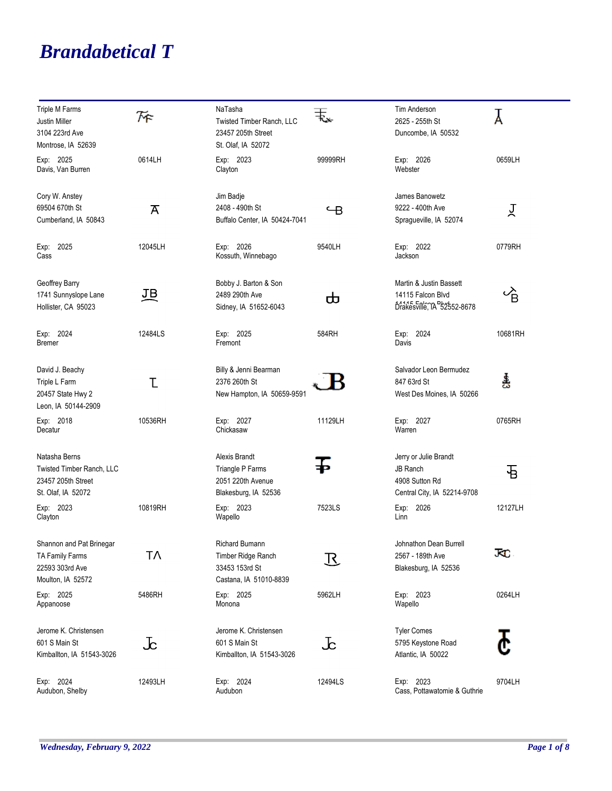## *Brandabetical T*

| Triple M Farms<br>Justin Miller<br>3104 223rd Ave<br>Montrose, IA 52639                | 灰              | NaTasha<br>Twisted Timber Ranch, LLC<br>23457 205th Street<br>St. Olaf, IA 52072        | 玉                        | Tim Anderson<br>2625 - 255th St<br>Duncombe, IA 50532                                     | Å                    |
|----------------------------------------------------------------------------------------|----------------|-----------------------------------------------------------------------------------------|--------------------------|-------------------------------------------------------------------------------------------|----------------------|
| Exp: 2025<br>Davis, Van Burren                                                         | 0614LH         | Exp: 2023<br>Clayton                                                                    | 99999RH                  | Exp: 2026<br>Webster                                                                      | 0659LH               |
| Cory W. Anstey<br>69504 670th St<br>Cumberland, IA 50843                               | $\overline{A}$ | Jim Badje<br>2408 - 490th St<br>Buffalo Center, IA 50424-7041                           | $\overline{\phantom{a}}$ | James Banowetz<br>9222 - 400th Ave<br>Spragueville, IA 52074                              | 只                    |
| Exp: 2025<br>Cass                                                                      | 12045LH        | Exp: 2026<br>Kossuth, Winnebago                                                         | 9540LH                   | Exp: 2022<br>Jackson                                                                      | 0779RH               |
| Geoffrey Barry<br>1741 Sunnyslope Lane<br>Hollister, CA 95023                          | <u>ЛВ</u>      | Bobby J. Barton & Son<br>2489 290th Ave<br>Sidney, IA 51652-6043                        | ᇰ                        | Martin & Justin Bassett<br>14115 Falcon Blvd<br>Drakesville, TA 32552-8678                | $\overrightarrow{B}$ |
| Exp: 2024<br><b>Bremer</b>                                                             | 12484LS        | Exp: 2025<br>Fremont                                                                    | 584RH                    | Exp: 2024<br>Davis                                                                        | 10681RH              |
| David J. Beachy<br>Triple L Farm<br>20457 State Hwy 2<br>Leon, IA 50144-2909           | τ              | Billy & Jenni Bearman<br>2376 260th St<br>New Hampton, IA 50659-9591                    |                          | Salvador Leon Bermudez<br>847 63rd St<br>West Des Moines, IA 50266                        | 홆                    |
| Exp: 2018<br>Decatur                                                                   | 10536RH        | Exp: 2027<br>Chickasaw                                                                  | 11129LH                  | Exp: 2027<br>Warren                                                                       | 0765RH               |
| Natasha Berns<br>Twisted Timber Ranch, LLC<br>23457 205th Street<br>St. Olaf, IA 52072 |                | Alexis Brandt<br>Triangle P Farms<br>2051 220th Avenue<br>Blakesburg, IA 52536          |                          | Jerry or Julie Brandt<br><b>JB Ranch</b><br>4908 Sutton Rd<br>Central City, IA 52214-9708 | 日                    |
| Exp: 2023<br>Clayton                                                                   | 10819RH        | Exp: 2023<br>Wapello                                                                    | 7523LS                   | Exp: 2026<br>Linn                                                                         | 12127LH              |
| Shannon and Pat Brinegar<br>TA Family Farms<br>22593 303rd Ave<br>Moulton, IA 52572    | Т٨             | <b>Richard Bumann</b><br>Timber Ridge Ranch<br>33453 153rd St<br>Castana, IA 51010-8839 | $\mathcal{R}% _{0}$      | Johnathon Dean Burrell<br>2567 - 189th Ave<br>Blakesburg, IA 52536                        | JС                   |
| Exp: 2025<br>Appanoose                                                                 | 5486RH         | Exp: 2025<br>Monona                                                                     | 5962LH                   | Exp: 2023<br>Wapello                                                                      | 0264LH               |
| Jerome K. Christensen<br>601 S Main St<br>Kimballton, IA 51543-3026                    | $\rm{Jc}$      | Jerome K. Christensen<br>601 S Main St<br>Kimballton, IA 51543-3026                     | 上                        | <b>Tyler Comes</b><br>5795 Keystone Road<br>Atlantic, IA 50022                            |                      |
| Exp: 2024<br>Audubon, Shelby                                                           | 12493LH        | Exp: 2024<br>Audubon                                                                    | 12494LS                  | Exp: 2023<br>Cass, Pottawatomie & Guthrie                                                 | 9704LH               |

۰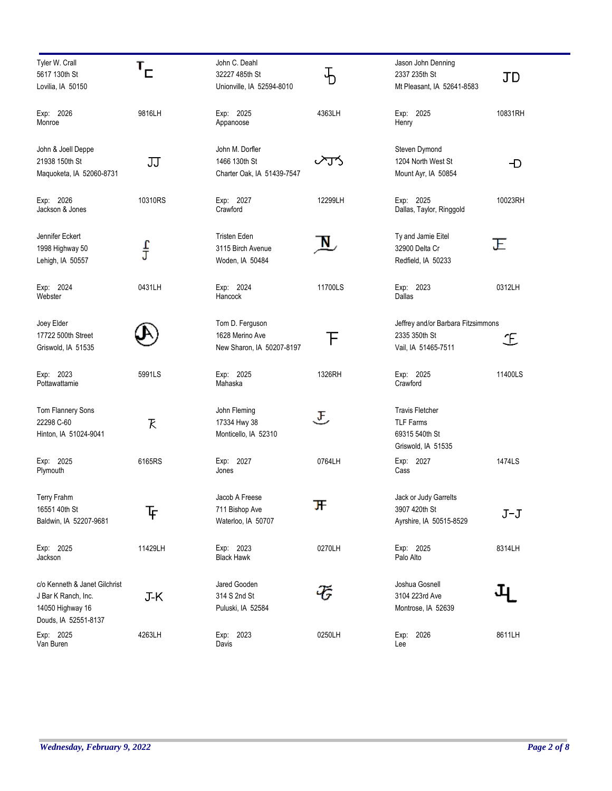| Tyler W. Crall<br>5617 130th St<br>Lovilia, IA 50150                                             | $\mathbf{r}_{\mathsf{C}}$ | John C. Deahl<br>32227 485th St<br>Unionville, IA 52594-8010    | Ъ                    | Jason John Denning<br>2337 235th St<br>Mt Pleasant, IA 52641-8583                  | JD      |
|--------------------------------------------------------------------------------------------------|---------------------------|-----------------------------------------------------------------|----------------------|------------------------------------------------------------------------------------|---------|
| Exp: 2026<br>Monroe                                                                              | 9816LH                    | Exp: 2025<br>Appanoose                                          | 4363LH               | Exp: 2025<br>Henry                                                                 | 10831RH |
| John & Joell Deppe<br>21938 150th St<br>Maquoketa, IA 52060-8731                                 | 刀                         | John M. Dorfler<br>1466 130th St<br>Charter Oak, IA 51439-7547  | ⁄J^                  | Steven Dymond<br>1204 North West St<br>Mount Ayr, IA 50854                         | Ð       |
| Exp: 2026<br>Jackson & Jones                                                                     | 10310RS                   | Exp: 2027<br>Crawford                                           | 12299LH              | Exp: 2025<br>Dallas, Taylor, Ringgold                                              | 10023RH |
| Jennifer Eckert<br>1998 Highway 50<br>Lehigh, IA 50557                                           | $\frac{1}{\overline{L}}$  | <b>Tristen Eden</b><br>3115 Birch Avenue<br>Woden, IA 50484     | $\mathbf{N}_{\perp}$ | Ty and Jamie Eitel<br>32900 Delta Cr<br>Redfield, IA 50233                         | Ε       |
| Exp: 2024<br>Webster                                                                             | 0431LH                    | Exp: 2024<br>Hancock                                            | 11700LS              | Exp: 2023<br>Dallas                                                                | 0312LH  |
| Joey Elder<br>17722 500th Street<br>Griswold, IA 51535                                           |                           | Tom D. Ferguson<br>1628 Merino Ave<br>New Sharon, IA 50207-8197 | F                    | Jeffrey and/or Barbara Fitzsimmons<br>2335 350th St<br>Vail, IA 51465-7511         | Ŀ       |
| Exp: 2023<br>Pottawattamie                                                                       | 5991LS                    | Exp: 2025<br>Mahaska                                            | 1326RH               | Exp: 2025<br>Crawford                                                              | 11400LS |
| Tom Flannery Sons<br>22298 C-60<br>Hinton, IA 51024-9041                                         | K                         | John Fleming<br>17334 Hwy 38<br>Monticello, IA 52310            | F                    | <b>Travis Fletcher</b><br><b>TLF Farms</b><br>69315 540th St<br>Griswold, IA 51535 |         |
| Exp: 2025<br>Plymouth                                                                            | 6165RS                    | Exp: 2027<br>Jones                                              | 0764LH               | Exp: 2027<br>Cass                                                                  | 1474LS  |
| Terry Frahm<br>16551 40th St<br>Baldwin, IA 52207-9681                                           | 下                         | Jacob A Freese<br>711 Bishop Ave<br>Waterloo, IA 50707          | 开                    | Jack or Judy Garrelts<br>3907 420th St<br>Ayrshire, IA 50515-8529                  | $J-J$   |
| Exp: 2025<br>Jackson                                                                             | 11429LH                   | Exp: 2023<br><b>Black Hawk</b>                                  | 0270LH               | Exp: 2025<br>Palo Alto                                                             | 8314LH  |
| c/o Kenneth & Janet Gilchrist<br>J Bar K Ranch, Inc.<br>14050 Highway 16<br>Douds, IA 52551-8137 | J-K                       | Jared Gooden<br>314 S 2nd St<br>Puluski, IA 52584               |                      | Joshua Gosnell<br>3104 223rd Ave<br>Montrose, IA 52639                             |         |
| Exp: 2025<br>Van Buren                                                                           | 4263LH                    | Exp: 2023<br>Davis                                              | 0250LH               | Exp: 2026<br>Lee                                                                   | 8611LH  |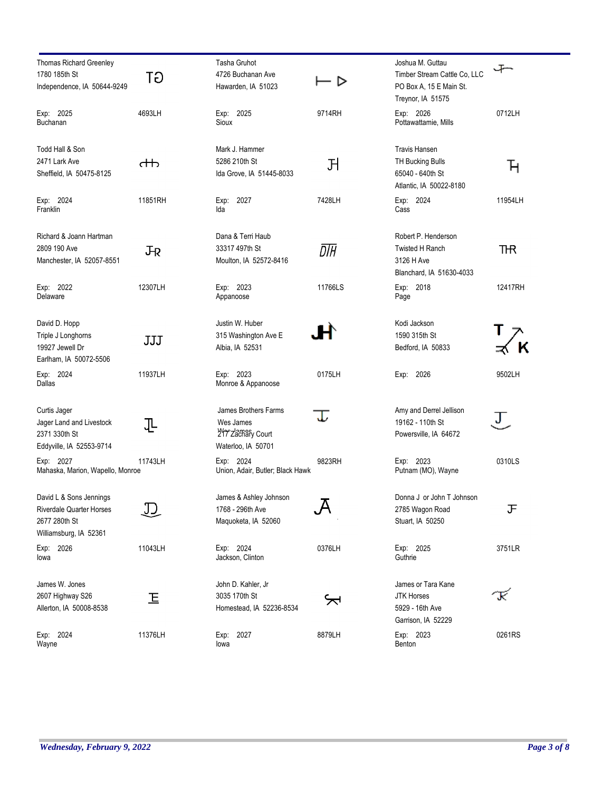| Thomas Richard Greenley<br>1780 185th St<br>Independence, IA 50644-9249                               | GT      | Tasha Gruhot<br>4726 Buchanan Ave<br>Hawarden, IA 51023                      | ▷       | Joshua M. Guttau<br>Timber Stream Cattle Co, LLC<br>PO Box A, 15 E Main St.<br>Treynor, IA 51575 |         |
|-------------------------------------------------------------------------------------------------------|---------|------------------------------------------------------------------------------|---------|--------------------------------------------------------------------------------------------------|---------|
| Exp: 2025<br><b>Buchanan</b>                                                                          | 4693LH  | Exp: 2025<br>Sioux                                                           | 9714RH  | Exp: 2026<br>Pottawattamie, Mills                                                                | 0712LH  |
| Todd Hall & Son<br>2471 Lark Ave<br>Sheffield, IA 50475-8125                                          | ₼       | Mark J. Hammer<br>5286 210th St<br>Ida Grove, IA 51445-8033                  | 거       | <b>Travis Hansen</b><br>TH Bucking Bulls<br>65040 - 640th St<br>Atlantic, IA 50022-8180          | Ή       |
| Exp: 2024<br>Franklin                                                                                 | 11851RH | Exp: 2027<br>Ida                                                             | 7428LH  | Exp: 2024<br>Cass                                                                                | 11954LH |
| Richard & Joann Hartman<br>2809 190 Ave<br>Manchester, IA 52057-8551                                  | JŖ      | Dana & Terri Haub<br>33317 497th St<br>Moulton, IA 52572-8416                | DTH     | Robert P. Henderson<br><b>Twisted H Ranch</b><br>3126 H Ave<br>Blanchard, IA 51630-4033          | THR     |
| Exp: 2022<br>Delaware                                                                                 | 12307LH | Exp: 2023<br>Appanoose                                                       | 11766LS | Exp: 2018<br>Page                                                                                | 12417RH |
| David D. Hopp<br>Triple J Longhorns<br>19927 Jewell Dr<br>Earlham, IA 50072-5506                      | JJJ     | Justin W. Huber<br>315 Washington Ave E<br>Albia, IA 52531                   |         | Kodi Jackson<br>1590 315th St<br>Bedford, IA 50833                                               |         |
| Exp: 2024<br>Dallas                                                                                   | 11937LH | Exp: 2023<br>Monroe & Appanoose                                              | 0175LH  | Exp: 2026                                                                                        | 9502LH  |
| Curtis Jager<br>Jager Land and Livestock<br>2371 330th St<br>Eddyville, IA 52553-9714                 | ╙       | James Brothers Farms<br>Wes James<br>217 Zachary Court<br>Waterloo, IA 50701 |         | Amy and Derrel Jellison<br>19162 - 110th St<br>Powersville, IA 64672                             | ر ل     |
| Exp: 2027<br>Mahaska, Marion, Wapello, Monroe                                                         | 11743LH | Exp: 2024<br>Union, Adair, Butler; Black Hawk                                | 9823RH  | Exp: 2023<br>Putnam (MO), Wayne                                                                  | 0310LS  |
| David L & Sons Jennings<br><b>Riverdale Quarter Horses</b><br>2677 280th St<br>Williamsburg, IA 52361 |         | James & Ashley Johnson<br>1768 - 296th Ave<br>Maquoketa, IA 52060            |         | Donna J or John T Johnson<br>2785 Wagon Road<br>Stuart, IA 50250                                 | 正       |
| 2026<br>Exp:<br>lowa                                                                                  | 11043LH | Exp: 2024<br>Jackson, Clinton                                                | 0376LH  | Exp: 2025<br>Guthrie                                                                             | 3751LR  |
| James W. Jones<br>2607 Highway S26<br>Allerton, IA 50008-8538                                         | 上       | John D. Kahler, Jr<br>3035 170th St<br>Homestead, IA 52236-8534              |         | James or Tara Kane<br><b>JTK Horses</b><br>5929 - 16th Ave<br>Garrison, IA 52229                 | K       |
| Exp: 2024<br>Wayne                                                                                    | 11376LH | Exp: 2027<br>lowa                                                            | 8879LH  | Exp: 2023<br>Benton                                                                              | 0261RS  |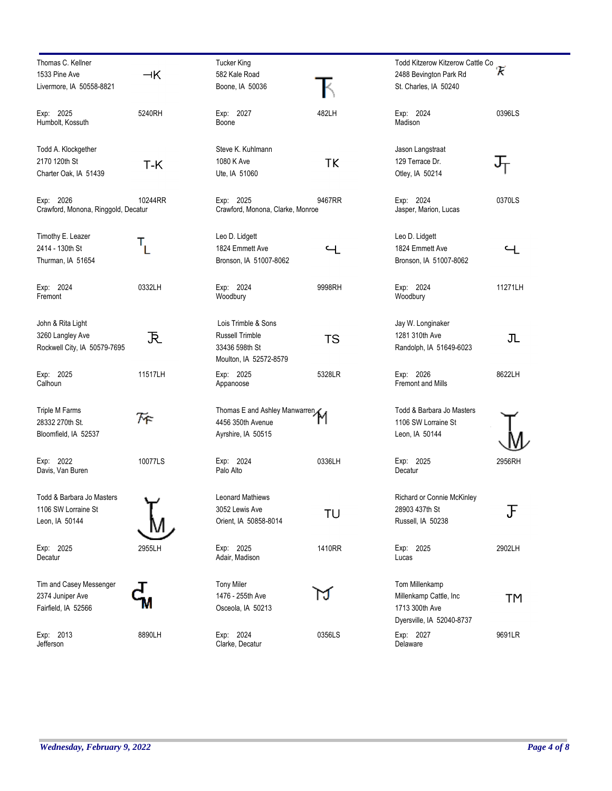| Thomas C. Kellner                   |             | <b>Tucker King</b>               |             | Todd Kitzerow Kitzerow Cattle Co |               |
|-------------------------------------|-------------|----------------------------------|-------------|----------------------------------|---------------|
| 1533 Pine Ave                       | $\neg K$    | 582 Kale Road                    |             | 2488 Bevington Park Rd           | π             |
| Livermore, IA 50558-8821            |             | Boone, IA 50036                  |             | St. Charles, IA 50240            |               |
|                                     |             |                                  |             |                                  |               |
| Exp: 2025                           | 5240RH      | Exp: 2027                        | 482LH       | Exp: 2024                        | 0396LS        |
| Humbolt, Kossuth                    |             | Boone                            |             | Madison                          |               |
|                                     |             |                                  |             |                                  |               |
| Todd A. Klockgether                 |             | Steve K. Kuhlmann                |             | Jason Langstraat                 |               |
| 2170 120th St                       | T-K         | 1080 K Ave                       | TK          | 129 Terrace Dr.                  |               |
| Charter Oak, IA 51439               |             | Ute, IA 51060                    |             | Otley, IA 50214                  |               |
| Exp: 2026                           | 10244RR     | Exp: 2025                        | 9467RR      | Exp: 2024                        | 0370LS        |
| Crawford, Monona, Ringgold, Decatur |             | Crawford, Monona, Clarke, Monroe |             | Jasper, Marion, Lucas            |               |
|                                     |             |                                  |             |                                  |               |
| Timothy E. Leazer                   |             | Leo D. Lidgett                   |             | Leo D. Lidgett                   |               |
| 2414 - 130th St                     | $T_{\rm L}$ | 1824 Emmett Ave                  | $\mathbf -$ | 1824 Emmett Ave                  | $\mathcal{L}$ |
| Thurman, IA 51654                   |             | Bronson, IA 51007-8062           |             | Bronson, IA 51007-8062           |               |
|                                     |             |                                  |             |                                  |               |
| Exp: 2024                           | 0332LH      | Exp: 2024                        | 9998RH      | Exp: 2024                        | 11271LH       |
| Fremont                             |             | Woodbury                         |             | Woodbury                         |               |
| John & Rita Light                   |             | Lois Trimble & Sons              |             | Jay W. Longinaker                |               |
| 3260 Langley Ave                    | 下           | <b>Russell Trimble</b>           | <b>TS</b>   | 1281 310th Ave                   | JL            |
| Rockwell City, IA 50579-7695        |             | 33436 598th St                   |             | Randolph, IA 51649-6023          |               |
|                                     |             | Moulton, IA 52572-8579           |             |                                  |               |
| Exp: 2025                           | 11517LH     | Exp: 2025                        | 5328LR      | Exp: 2026                        | 8622LH        |
| Calhoun                             |             | Appanoose                        |             | <b>Fremont and Mills</b>         |               |
| Triple M Farms                      |             | Thomas E and Ashley Manwarren    |             | Todd & Barbara Jo Masters        |               |
| 28332 270th St.                     | 斥           | 4456 350th Avenue                |             | 1106 SW Lorraine St              |               |
| Bloomfield, IA 52537                |             |                                  |             | Leon, IA 50144                   |               |
|                                     |             | Ayrshire, IA 50515               |             |                                  |               |
| Exp: 2022                           | 10077LS     | Exp: 2024                        | 0336LH      | Exp: 2025                        | 2956RH        |
| Davis, Van Buren                    |             | Palo Alto                        |             | Decatur                          |               |
|                                     |             | <b>Leonard Mathiews</b>          |             | Richard or Connie McKinley       |               |
| Todd & Barbara Jo Masters           |             |                                  |             |                                  |               |
| 1106 SW Lorraine St                 |             | 3052 Lewis Ave                   | TU          | 28903 437th St                   | J             |
| Leon, IA 50144                      |             | Orient, IA 50858-8014            |             | Russell, IA 50238                |               |
| Exp: 2025                           | 2955LH      | Exp: 2025                        | 1410RR      | Exp: 2025                        | 2902LH        |
| Decatur                             |             | Adair, Madison                   |             | Lucas                            |               |
|                                     |             |                                  |             |                                  |               |
| Tim and Casey Messenger             |             | <b>Tony Miler</b>                |             | Tom Millenkamp                   |               |
| 2374 Juniper Ave                    |             | 1476 - 255th Ave                 |             | Millenkamp Cattle, Inc           | <b>TM</b>     |
| Fairfield, IA 52566                 |             | Osceola, IA 50213                |             | 1713 300th Ave                   |               |
|                                     |             |                                  |             | Dyersville, IA 52040-8737        |               |
| Exp: 2013                           | 8890LH      | Exp: 2024                        | 0356LS      | Exp: 2027                        | 9691LR        |
| Jefferson                           |             | Clarke, Decatur                  |             | Delaware                         |               |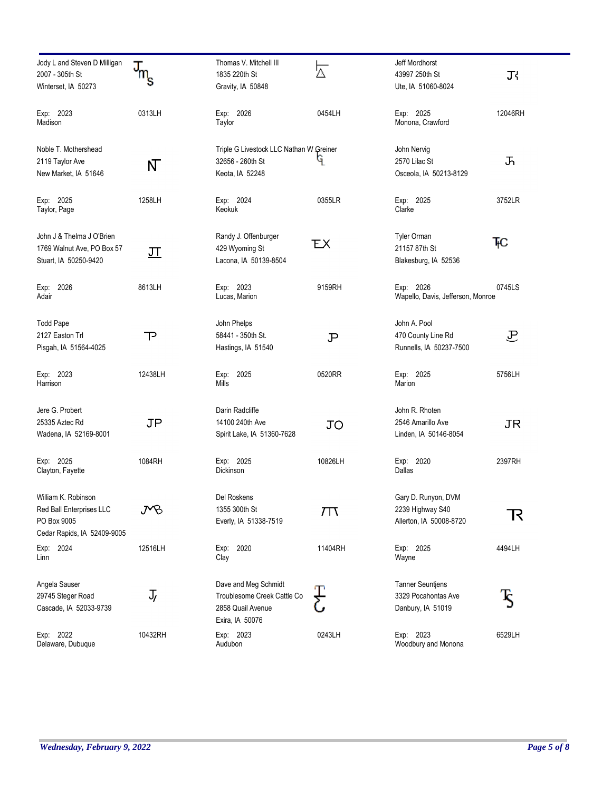| Jody L and Steven D Milligan<br>2007 - 305th St<br>Winterset, IA 50273                        | $m_{\rm s}$ | Thomas V. Mitchell III<br>1835 220th St<br>Gravity, IA 50848                                | ⊠       | Jeff Mordhorst<br>43997 250th St<br>Ute, IA 51060-8024              | Τł                  |
|-----------------------------------------------------------------------------------------------|-------------|---------------------------------------------------------------------------------------------|---------|---------------------------------------------------------------------|---------------------|
| Exp: 2023<br>Madison                                                                          | 0313LH      | Exp: 2026<br>Taylor                                                                         | 0454LH  | Exp: 2025<br>Monona, Crawford                                       | 12046RH             |
| Noble T. Mothershead<br>2119 Taylor Ave<br>New Market, IA 51646                               | N           | Triple G Livestock LLC Nathan W Greiner<br>32656 - 260th St<br>Keota, IA 52248              | ۹       | John Nervig<br>2570 Lilac St<br>Osceola, IA 50213-8129              | ふ                   |
| Exp: 2025<br>Taylor, Page                                                                     | 1258LH      | Exp: 2024<br>Keokuk                                                                         | 0355LR  | Exp: 2025<br>Clarke                                                 | 3752LR              |
| John J & Thelma J O'Brien<br>1769 Walnut Ave, PO Box 57<br>Stuart, IA 50250-9420              | <u> ज</u>   | Randy J. Offenburger<br>429 Wyoming St<br>Lacona, IA 50139-8504                             | ЕX      | <b>Tyler Orman</b><br>21157 87th St<br>Blakesburg, IA 52536         | ŦС                  |
| 2026<br>Exp:<br>Adair                                                                         | 8613LH      | Exp: 2023<br>Lucas, Marion                                                                  | 9159RH  | Exp: 2026<br>Wapello, Davis, Jefferson, Monroe                      | 0745LS              |
| <b>Todd Pape</b><br>2127 Easton Trl<br>Pisgah, IA 51564-4025                                  | $\mathsf P$ | John Phelps<br>58441 - 350th St.<br>Hastings, IA 51540                                      | P       | John A. Pool<br>470 County Line Rd<br>Runnells, IA 50237-7500       | 卫                   |
| Exp: 2023<br>Harrison                                                                         | 12438LH     | Exp: 2025<br>Mills                                                                          | 0520RR  | Exp: 2025<br>Marion                                                 | 5756LH              |
| Jere G. Probert<br>25335 Aztec Rd<br>Wadena, IA 52169-8001                                    | <b>JP</b>   | Darin Radcliffe<br>14100 240th Ave<br>Spirit Lake, IA 51360-7628                            | JO      | John R. Rhoten<br>2546 Amarillo Ave<br>Linden, IA 50146-8054        | <b>JR</b>           |
| Exp: 2025<br>Clayton, Fayette                                                                 | 1084RH      | Exp: 2025<br>Dickinson                                                                      | 10826LH | Exp: 2020<br>Dallas                                                 | 2397RH              |
| William K. Robinson<br>Red Ball Enterprises LLC<br>PO Box 9005<br>Cedar Rapids, IA 52409-9005 | PB          | Del Roskens<br>1355 300th St<br>Everly, IA 51338-7519                                       | 7T      | Gary D. Runyon, DVM<br>2239 Highway S40<br>Allerton, IA 50008-8720  | $\mathcal{R}% _{0}$ |
| Exp: 2024<br>Linn                                                                             | 12516LH     | Exp: 2020<br>Clay                                                                           | 11404RH | Exp: 2025<br>Wayne                                                  | 4494LH              |
| Angela Sauser<br>29745 Steger Road<br>Cascade, IA 52033-9739                                  | J,          | Dave and Meg Schmidt<br>Troublesome Creek Cattle Co<br>2858 Quail Avenue<br>Exira, IA 50076 |         | <b>Tanner Seuntjens</b><br>3329 Pocahontas Ave<br>Danbury, IA 51019 | Š                   |
| Exp: 2022<br>Delaware, Dubuque                                                                | 10432RH     | Exp: 2023<br>Audubon                                                                        | 0243LH  | Exp: 2023<br>Woodbury and Monona                                    | 6529LH              |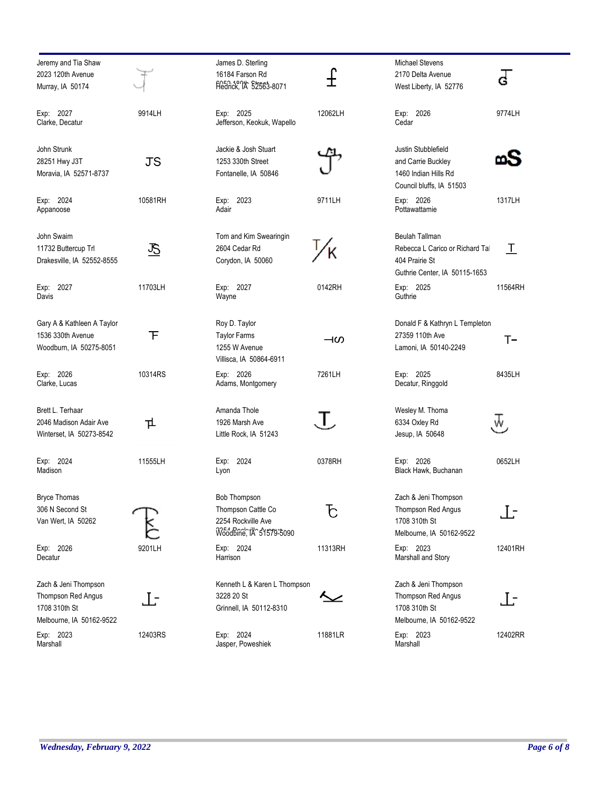| Jeremy and Tia Shaw<br>2023 120th Avenue                                                |         |
|-----------------------------------------------------------------------------------------|---------|
| Murray, IA 50174                                                                        |         |
| Exp: 2027<br>Clarke, Decatur                                                            | 9914LH  |
| John Strunk<br>28251 Hwy J3T<br>Moravia, IA 52571-8737                                  | JS      |
| Exp: 2024<br>Appanoose                                                                  | 10581RH |
| John Swaim<br>11732 Buttercup Trl<br>Drakesville, IA 52552-8555                         |         |
| Exp: 2027<br>Davis                                                                      | 11703LH |
| Gary A & Kathleen A Taylor<br>1536 330th Avenue<br>Woodburn, IA 50275-8051              | F       |
| Exp: 2026<br>Clarke, Lucas                                                              | 10314RS |
| Brett L. Terhaar<br>2046 Madison Adair Ave<br>Winterset, IA 50273-8542                  | ᇿ       |
| Exp: 2024<br>Madison                                                                    | 11555LH |
| <b>Bryce Thomas</b><br>306 N Second St<br>Van Wert, IA 50262<br>Exp:<br>2026<br>Decatur | 9201LH  |
| Zach & Jeni Thompson<br>Thompson Red Angus<br>1708 310th St<br>Melbourne, IA 50162-9522 | l t     |
| Exp: 2023                                                                               | 12403RS |

| James D. Sterling                 |         | Mio             |
|-----------------------------------|---------|-----------------|
| 16184 Farson Rd                   |         | $21^{\circ}$    |
| Fledrick, 14 \$2563-8071          |         | We              |
| Exp:<br>2025                      | 12062LH | Ex              |
| Jefferson, Keokuk, Wapello        |         | Сe              |
| Jackie & Josh Stuart              |         | Jus             |
| 1253 330th Street                 |         | an              |
| Fontanelle, IA 50846              |         | 140             |
|                                   |         | Сo              |
| Exp:<br>2023<br>Adair             | 9711LH  | Ex<br>Po        |
| Tom and Kim Swearingin            |         | Be              |
| 2604 Cedar Rd                     |         | Re              |
| Corydon, IA 50060                 |         | 40              |
|                                   |         | Gu              |
| Exp:<br>2027<br>Wayne             | 0142RH  | Ex<br>Gu        |
| Roy D. Taylor                     |         | Do              |
| <b>Taylor Farms</b>               | ዛの      | 27:             |
| 1255 W Avenue                     |         | Laı             |
| Villisca, IA 50864-6911           |         |                 |
| Exp:<br>2026                      | 7261LH  | Ex              |
| Adams, Montgomery                 |         | De              |
| Amanda Thole                      |         | Wo              |
| 1926 Marsh Ave                    |         | 63              |
| Little Rock, IA 51243             |         | Jes             |
| Exp:<br>2024                      | 0378RH  | Ex              |
| Lyon                              |         | Bla             |
| <b>Bob Thompson</b>               |         | Za              |
| Thompson Cattle Co                |         | Th              |
| 2254 Rockville Ave                |         | 17 <sub>0</sub> |
| Woodbine, IA^51579-6090           |         | Me              |
| Exp: 2024<br>Harrison             | 11313RH | Ex              |
|                                   |         | Ма              |
| Kenneth L & Karen L Thompson      |         | Za              |
| 3228 20 St                        |         | Th              |
| Grinnell, IA 50112-8310           |         | 17<br>Ме        |
|                                   |         |                 |
| Exp:<br>2024<br>Jasper, Poweshiek | 11881LR | Ex<br>Ма        |

| <b>Michael Stevens</b>            |         |
|-----------------------------------|---------|
| 2170 Delta Avenue                 |         |
| West Liberty, IA 52776            |         |
|                                   |         |
| Exp: 2026                         | 9774LH  |
| Cedar                             |         |
|                                   |         |
|                                   |         |
| Justin Stubblefield               |         |
| and Carrie Buckley                |         |
| 1460 Indian Hills Rd              |         |
| Council bluffs. IA 51503          |         |
| Exp: 2026                         | 1317LH  |
| Pottawattamie                     |         |
|                                   |         |
| <b>Beulah Tallman</b>             |         |
| Rebecca L Carico or Richard Tal   |         |
| 404 Prairie St                    |         |
| Guthrie Center, IA 50115-1653     |         |
|                                   |         |
| Exp: 2025<br>Guthrie              | 11564RH |
|                                   |         |
|                                   |         |
| Donald F & Kathryn L Templeton    |         |
| 27359 110th Ave                   | ſ÷      |
| Lamoni, IA 50140-2249             |         |
|                                   |         |
| Exp: 2025                         | 8435LH  |
| Decatur, Ringgold                 |         |
|                                   |         |
| Wesley M. Thoma                   |         |
| 6334 Oxley Rd                     |         |
| Jesup, IA 50648                   |         |
|                                   |         |
|                                   |         |
| Exp: 2026<br>Black Hawk, Buchanan | 0652LH  |
|                                   |         |
|                                   |         |
| Zach & Jeni Thompson              |         |
| Thompson Red Angus                |         |
| 1708 310th St                     |         |
| Melbourne, IA 50162-9522          |         |
| Exp: 2023                         | 12401RH |
| Marshall and Story                |         |
|                                   |         |
| Zach & Jeni Thompson              |         |
| Thompson Red Angus                | . I -   |
| 1708 310th St                     |         |
| Melbourne, IA 50162-9522          |         |
|                                   | 12402RR |
| Exp:<br>2023<br>Marshall          |         |

Marshall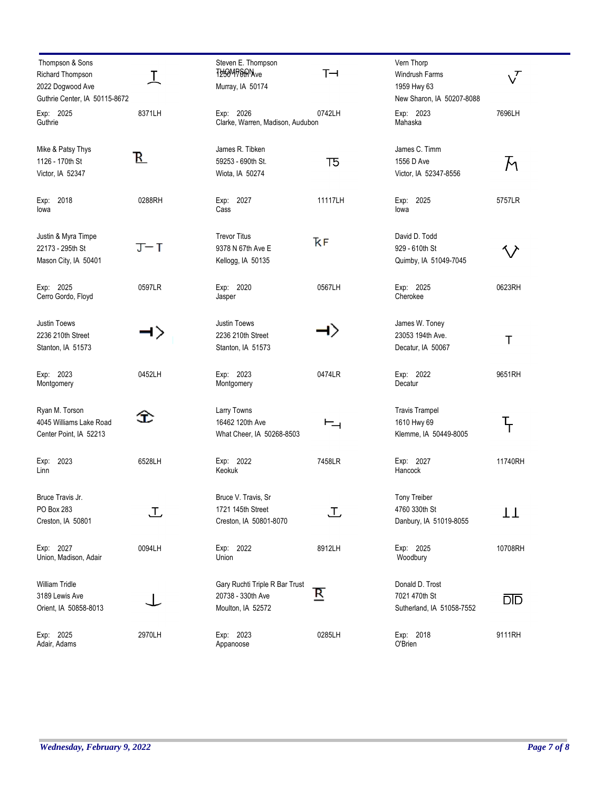| Thompson & Sons<br>Richard Thompson<br>2022 Dogwood Ave             | I      | Steven E. Thompson<br>T250MP6AMve<br>Murray, IA 50174                    | $T \rightarrow$         | Vern Thorp<br><b>Windrush Farms</b><br>1959 Hwy 63             | $\sqrt{\phantom{a}}$ |
|---------------------------------------------------------------------|--------|--------------------------------------------------------------------------|-------------------------|----------------------------------------------------------------|----------------------|
| Guthrie Center, IA 50115-8672                                       |        |                                                                          |                         | New Sharon, IA 50207-8088                                      |                      |
| Exp: 2025<br>Guthrie                                                | 8371LH | Exp: 2026<br>Clarke, Warren, Madison, Audubon                            | 0742LH                  | Exp: 2023<br>Mahaska                                           | 7696LH               |
| Mike & Patsy Thys<br>1126 - 170th St<br>Victor, IA 52347            | В.     | James R. Tibken<br>59253 - 690th St.<br>Wiota, IA 50274                  | 75                      | James C. Timm<br>1556 D Ave<br>Victor, IA 52347-8556           | M                    |
| Exp: 2018<br>lowa                                                   | 0288RH | Exp: 2027<br>Cass                                                        | 11117LH                 | Exp: 2025<br>lowa                                              | 5757LR               |
| Justin & Myra Timpe<br>22173 - 295th St<br>Mason City, IA 50401     | J-T    | <b>Trevor Titus</b><br>9378 N 67th Ave E<br>Kellogg, IA 50135            | ҠF                      | David D. Todd<br>929 - 610th St<br>Quimby, IA 51049-7045       |                      |
| Exp: 2025<br>Cerro Gordo, Floyd                                     | 0597LR | Exp: 2020<br>Jasper                                                      | 0567LH                  | Exp: 2025<br>Cherokee                                          | 0623RH               |
| <b>Justin Toews</b><br>2236 210th Street<br>Stanton, IA 51573       | ⊣ >    | Justin Toews<br>2236 210th Street<br>Stanton, IA 51573                   |                         | James W. Toney<br>23053 194th Ave.<br>Decatur, IA 50067        | Τ                    |
| Exp: 2023<br>Montgomery                                             | 0452LH | Exp: 2023<br>Montgomery                                                  | 0474LR                  | Exp: 2022<br>Decatur                                           | 9651RH               |
| Ryan M. Torson<br>4045 Williams Lake Road<br>Center Point, IA 52213 | Œ      | Larry Towns<br>16462 120th Ave<br>What Cheer, IA 50268-8503              | $\vdash_{\neg \vdash}$  | <b>Travis Trampel</b><br>1610 Hwy 69<br>Klemme, IA 50449-8005  | Т<br>Т               |
| 2023<br>Exp:<br>Linn                                                | 6528LH | Exp: 2022<br>Keokuk                                                      | 7458LR                  | Exp: 2027<br>Hancock                                           | 11740RH              |
| Bruce Travis Jr.<br>PO Box 283<br>Creston, IA 50801                 | 工      | Bruce V. Travis, Sr<br>1721 145th Street<br>Creston, IA 50801-8070       | 工                       | <b>Tony Treiber</b><br>4760 330th St<br>Danbury, IA 51019-8055 | TT                   |
| Exp: 2027<br>Union, Madison, Adair                                  | 0094LH | Exp: 2022<br>Union                                                       | 8912LH                  | Exp: 2025<br>Woodbury                                          | 10708RH              |
| William Tridle<br>3189 Lewis Ave<br>Orient, IA 50858-8013           |        | Gary Ruchti Triple R Bar Trust<br>20738 - 330th Ave<br>Moulton, IA 52572 | $\overline{\mathbf{R}}$ | Donald D. Trost<br>7021 470th St<br>Sutherland, IA 51058-7552  | <u>DID</u>           |
| Exp: 2025<br>Adair, Adams                                           | 2970LH | Exp: 2023<br>Appanoose                                                   | 0285LH                  | Exp: 2018<br>O'Brien                                           | 9111RH               |